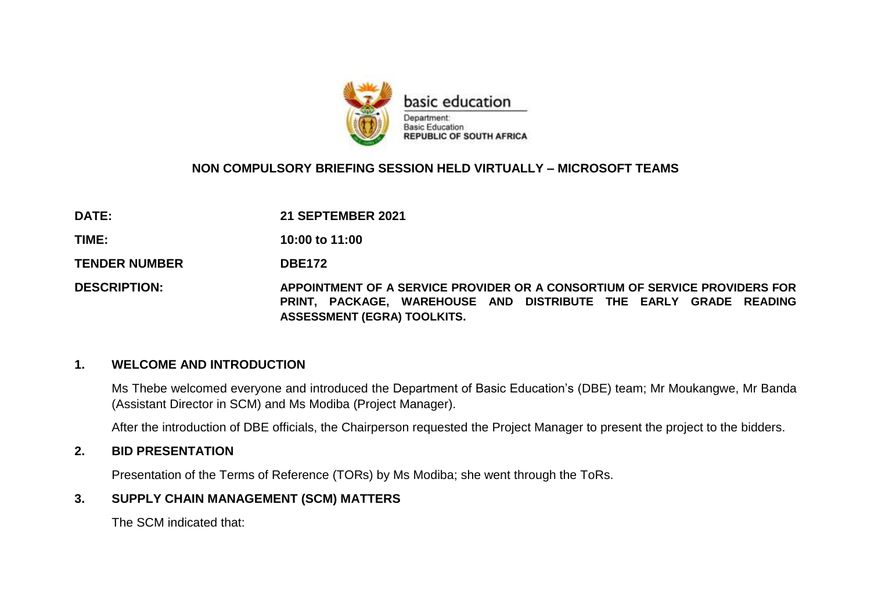

## **NON COMPULSORY BRIEFING SESSION HELD VIRTUALLY – MICROSOFT TEAMS**

**DATE: 21 SEPTEMBER 2021**

**TIME: 10:00 to 11:00**

TENDER NUMBER DBE172

**DESCRIPTION: APPOINTMENT OF A SERVICE PROVIDER OR A CONSORTIUM OF SERVICE PROVIDERS FOR PRINT, PACKAGE, WAREHOUSE AND DISTRIBUTE THE EARLY GRADE READING ASSESSMENT (EGRA) TOOLKITS.**

#### **1. WELCOME AND INTRODUCTION**

Ms Thebe welcomed everyone and introduced the Department of Basic Education's (DBE) team; Mr Moukangwe, Mr Banda (Assistant Director in SCM) and Ms Modiba (Project Manager).

After the introduction of DBE officials, the Chairperson requested the Project Manager to present the project to the bidders.

#### **2. BID PRESENTATION**

Presentation of the Terms of Reference (TORs) by Ms Modiba; she went through the ToRs.

## **3. SUPPLY CHAIN MANAGEMENT (SCM) MATTERS**

The SCM indicated that: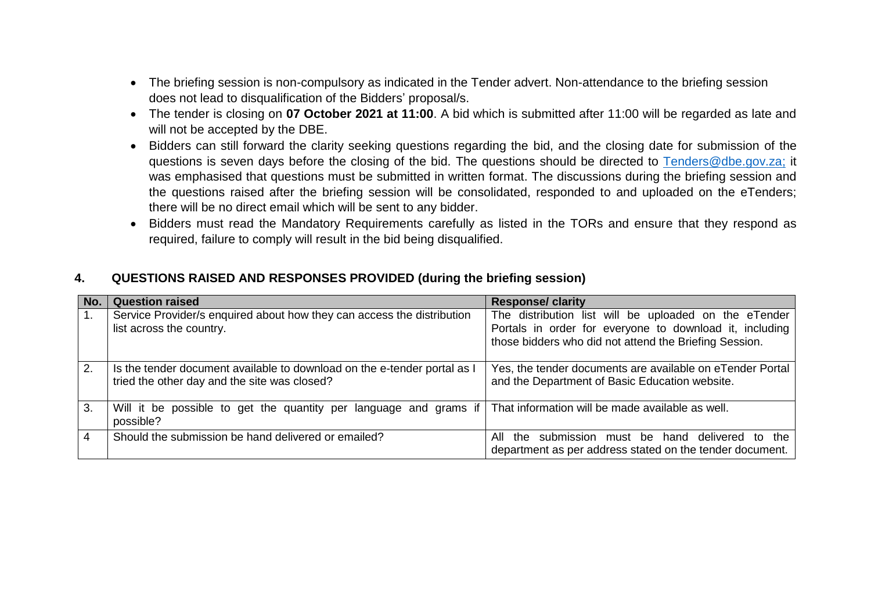- The briefing session is non-compulsory as indicated in the Tender advert. Non-attendance to the briefing session does not lead to disqualification of the Bidders' proposal/s.
- The tender is closing on **07 October 2021 at 11:00**. A bid which is submitted after 11:00 will be regarded as late and will not be accepted by the DBE.
- Bidders can still forward the clarity seeking questions regarding the bid, and the closing date for submission of the questions is seven days before the closing of the bid. The questions should be directed to [Tenders@dbe.gov.za;](mailto:Tenders@dbe.gov.za) it was emphasised that questions must be submitted in written format. The discussions during the briefing session and the questions raised after the briefing session will be consolidated, responded to and uploaded on the eTenders; there will be no direct email which will be sent to any bidder.
- Bidders must read the Mandatory Requirements carefully as listed in the TORs and ensure that they respond as required, failure to comply will result in the bid being disqualified.

## **4. QUESTIONS RAISED AND RESPONSES PROVIDED (during the briefing session)**

| No. | <b>Question raised</b>                                                                                                            | <b>Response/ clarity</b>                                                                                                                                                   |
|-----|-----------------------------------------------------------------------------------------------------------------------------------|----------------------------------------------------------------------------------------------------------------------------------------------------------------------------|
|     | Service Provider/s enquired about how they can access the distribution<br>list across the country.                                | The distribution list will be uploaded on the eTender<br>Portals in order for everyone to download it, including<br>those bidders who did not attend the Briefing Session. |
| 2.  | Is the tender document available to download on the e-tender portal as I<br>tried the other day and the site was closed?          | Yes, the tender documents are available on eTender Portal<br>and the Department of Basic Education website.                                                                |
| 3.  | Will it be possible to get the quantity per language and grams if   That information will be made available as well.<br>possible? |                                                                                                                                                                            |
| 4   | Should the submission be hand delivered or emailed?                                                                               | All the submission must be hand delivered to the<br>department as per address stated on the tender document.                                                               |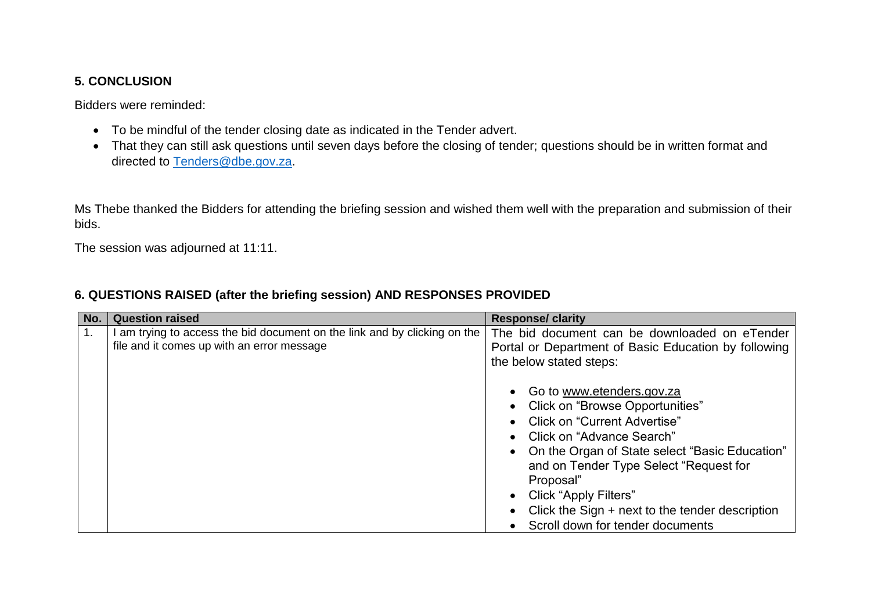## **5. CONCLUSION**

Bidders were reminded:

- To be mindful of the tender closing date as indicated in the Tender advert.
- That they can still ask questions until seven days before the closing of tender; questions should be in written format and directed to [Tenders@dbe.gov.za.](mailto:Tenders@dbe.gov.za)

Ms Thebe thanked the Bidders for attending the briefing session and wished them well with the preparation and submission of their bids.

The session was adjourned at 11:11.

| No. | <b>Question raised</b>                                                                                                | <b>Response/ clarity</b>                                                                                                                                                                                                                                                                                                                                       |
|-----|-----------------------------------------------------------------------------------------------------------------------|----------------------------------------------------------------------------------------------------------------------------------------------------------------------------------------------------------------------------------------------------------------------------------------------------------------------------------------------------------------|
| 1.  | am trying to access the bid document on the link and by clicking on the<br>file and it comes up with an error message | The bid document can be downloaded on eTender<br>Portal or Department of Basic Education by following<br>the below stated steps:                                                                                                                                                                                                                               |
|     |                                                                                                                       | • Go to www.etenders.gov.za<br>• Click on "Browse Opportunities"<br>• Click on "Current Advertise"<br>• Click on "Advance Search"<br>• On the Organ of State select "Basic Education"<br>and on Tender Type Select "Request for<br>Proposal"<br>• Click "Apply Filters"<br>Click the Sign + next to the tender description<br>Scroll down for tender documents |

# **6. QUESTIONS RAISED (after the briefing session) AND RESPONSES PROVIDED**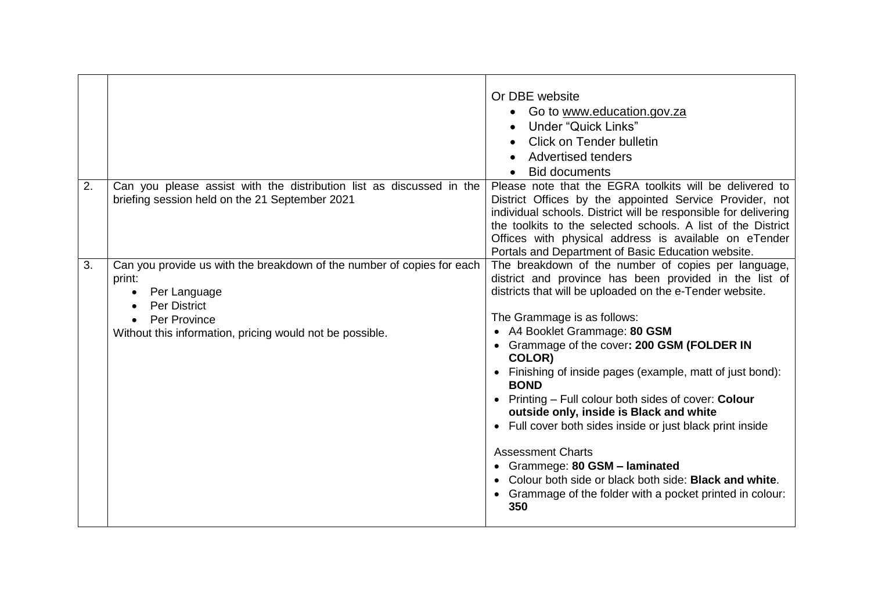|    |                                                                                                                                                                                                     | Or DBE website<br>Go to www.education.gov.za<br><b>Under "Quick Links"</b><br><b>Click on Tender bulletin</b><br>Advertised tenders<br><b>Bid documents</b>                                                                                                                                                                                                                                                                                                                                                                                                                                                                                                                                                                                                                     |
|----|-----------------------------------------------------------------------------------------------------------------------------------------------------------------------------------------------------|---------------------------------------------------------------------------------------------------------------------------------------------------------------------------------------------------------------------------------------------------------------------------------------------------------------------------------------------------------------------------------------------------------------------------------------------------------------------------------------------------------------------------------------------------------------------------------------------------------------------------------------------------------------------------------------------------------------------------------------------------------------------------------|
| 2. | Can you please assist with the distribution list as discussed in the<br>briefing session held on the 21 September 2021                                                                              | Please note that the EGRA toolkits will be delivered to<br>District Offices by the appointed Service Provider, not<br>individual schools. District will be responsible for delivering<br>the toolkits to the selected schools. A list of the District<br>Offices with physical address is available on eTender<br>Portals and Department of Basic Education website.                                                                                                                                                                                                                                                                                                                                                                                                            |
| 3. | Can you provide us with the breakdown of the number of copies for each<br>print:<br>Per Language<br><b>Per District</b><br>Per Province<br>Without this information, pricing would not be possible. | The breakdown of the number of copies per language,<br>district and province has been provided in the list of<br>districts that will be uploaded on the e-Tender website.<br>The Grammage is as follows:<br>A4 Booklet Grammage: 80 GSM<br>$\bullet$<br>• Grammage of the cover: 200 GSM (FOLDER IN<br>COLOR)<br>Finishing of inside pages (example, matt of just bond):<br><b>BOND</b><br>• Printing - Full colour both sides of cover: Colour<br>outside only, inside is Black and white<br>Full cover both sides inside or just black print inside<br>$\bullet$<br><b>Assessment Charts</b><br>• Grammege: 80 GSM - laminated<br>Colour both side or black both side: <b>Black and white.</b><br>Grammage of the folder with a pocket printed in colour:<br>$\bullet$<br>350 |